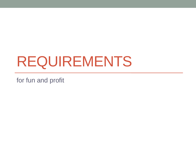# REQUIREMENTS

for fun and profit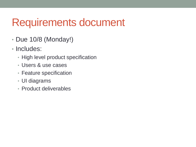## Requirements document

- Due 10/8 (Monday!)
- Includes:
	- High level product specification
	- Users & use cases
	- Feature specification
	- UI diagrams
	- Product deliverables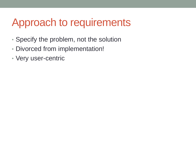### Approach to requirements

- Specify the problem, not the solution
- Divorced from implementation!
- Very user-centric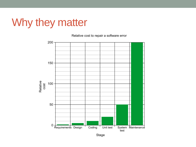## Why they matter

Relative cost to repair a software error



Stage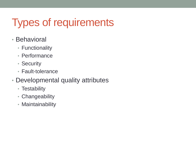# Types of requirements

- Behavioral
	- Functionality
	- Performance
	- Security
	- Fault-tolerance
- Developmental quality attributes
	- Testability
	- Changeability
	- Maintainability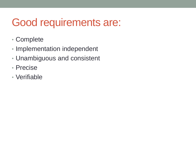# Good requirements are:

- Complete
- Implementation independent
- Unambiguous and consistent
- Precise
- Verifiable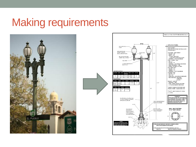#### Making requirements



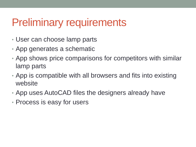### Preliminary requirements

- User can choose lamp parts
- App generates a schematic
- App shows price comparisons for competitors with similar lamp parts
- App is compatible with all browsers and fits into existing website
- App uses AutoCAD files the designers already have
- Process is easy for users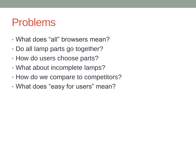#### Problems

- What does "all" browsers mean?
- Do all lamp parts go together?
- How do users choose parts?
- What about incomplete lamps?
- How do we compare to competitors?
- What does "easy for users" mean?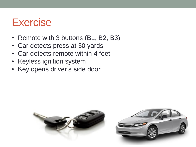#### **Exercise**

- Remote with 3 buttons (B1, B2, B3)
- Car detects press at 30 yards
- Car detects remote within 4 feet
- Keyless ignition system
- Key opens driver's side door